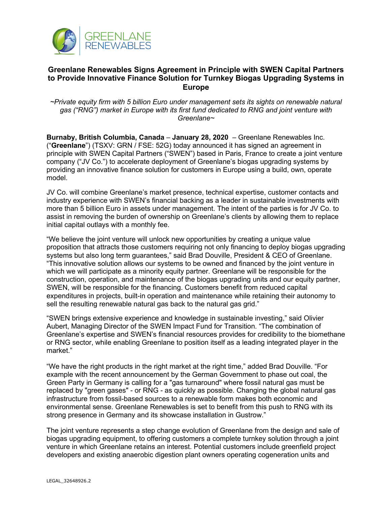

## **Greenlane Renewables Signs Agreement in Principle with SWEN Capital Partners to Provide Innovative Finance Solution for Turnkey Biogas Upgrading Systems in Europe**

*~Private equity firm with 5 billion Euro under management sets its sights on renewable natural gas ("RNG") market in Europe with its first fund dedicated to RNG and joint venture with Greenlane~*

**Burnaby, British Columbia, Canada** – **January 28, 2020** – Greenlane Renewables Inc. ("**Greenlane**") (TSXV: GRN / FSE: 52G) today announced it has signed an agreement in principle with SWEN Capital Partners ("SWEN") based in Paris, France to create a joint venture company ("JV Co.") to accelerate deployment of Greenlane's biogas upgrading systems by providing an innovative finance solution for customers in Europe using a build, own, operate model.

JV Co. will combine Greenlane's market presence, technical expertise, customer contacts and industry experience with SWEN's financial backing as a leader in sustainable investments with more than 5 billion Euro in assets under management. The intent of the parties is for JV Co. to assist in removing the burden of ownership on Greenlane's clients by allowing them to replace initial capital outlays with a monthly fee.

"We believe the joint venture will unlock new opportunities by creating a unique value proposition that attracts those customers requiring not only financing to deploy biogas upgrading systems but also long term guarantees," said Brad Douville, President & CEO of Greenlane. "This innovative solution allows our systems to be owned and financed by the joint venture in which we will participate as a minority equity partner. Greenlane will be responsible for the construction, operation, and maintenance of the biogas upgrading units and our equity partner, SWEN, will be responsible for the financing. Customers benefit from reduced capital expenditures in projects, built-in operation and maintenance while retaining their autonomy to sell the resulting renewable natural gas back to the natural gas grid."

"SWEN brings extensive experience and knowledge in sustainable investing," said Olivier Aubert, Managing Director of the SWEN Impact Fund for Transition. "The combination of Greenlane's expertise and SWEN's financial resources provides for credibility to the biomethane or RNG sector, while enabling Greenlane to position itself as a leading integrated player in the market."

"We have the right products in the right market at the right time," added Brad Douville. "For example with the recent announcement by the German Government to phase out coal, the Green Party in Germany is calling for a "gas turnaround" where fossil natural gas must be replaced by "green gases" - or RNG - as quickly as possible. Changing the global natural gas infrastructure from fossil-based sources to a renewable form makes both economic and environmental sense. Greenlane Renewables is set to benefit from this push to RNG with its strong presence in Germany and its showcase installation in Gustrow."

The joint venture represents a step change evolution of Greenlane from the design and sale of biogas upgrading equipment, to offering customers a complete turnkey solution through a joint venture in which Greenlane retains an interest. Potential customers include greenfield project developers and existing anaerobic digestion plant owners operating cogeneration units and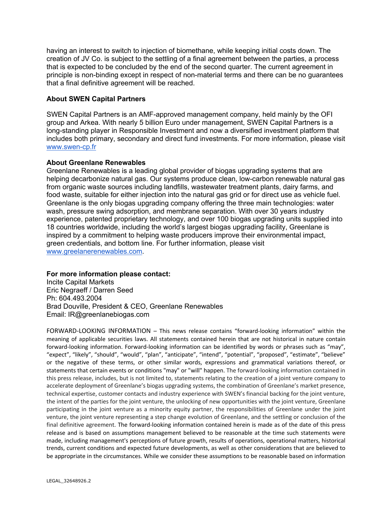having an interest to switch to injection of biomethane, while keeping initial costs down. The creation of JV Co. is subject to the settling of a final agreement between the parties, a process that is expected to be concluded by the end of the second quarter. The current agreement in principle is non-binding except in respect of non-material terms and there can be no guarantees that a final definitive agreement will be reached.

## **About SWEN Capital Partners**

SWEN Capital Partners is an AMF-approved management company, held mainly by the OFI group and Arkea. With nearly 5 billion Euro under management, SWEN Capital Partners is a long-standing player in Responsible Investment and now a diversified investment platform that includes both primary, secondary and direct fund investments. For more information, please visit www.swen-cp.fr

## **About Greenlane Renewables**

Greenlane Renewables is a leading global provider of biogas upgrading systems that are helping decarbonize natural gas. Our systems produce clean, low-carbon renewable natural gas from organic waste sources including landfills, wastewater treatment plants, dairy farms, and food waste, suitable for either injection into the natural gas grid or for direct use as vehicle fuel. Greenlane is the only biogas upgrading company offering the three main technologies: water wash, pressure swing adsorption, and membrane separation. With over 30 years industry experience, patented proprietary technology, and over 100 biogas upgrading units supplied into 18 countries worldwide, including the world's largest biogas upgrading facility, Greenlane is inspired by a commitment to helping waste producers improve their environmental impact, green credentials, and bottom line. For further information, please visit www.greelanerenewables.com.

## **For more information please contact:**

Incite Capital Markets Eric Negraeff / Darren Seed Ph: 604.493.2004 Brad Douville, President & CEO, Greenlane Renewables Email: IR@greenlanebiogas.com

FORWARD-LOOKING INFORMATION – This news release contains "forward-looking information" within the meaning of applicable securities laws. All statements contained herein that are not historical in nature contain forward-looking information. Forward-looking information can be identified by words or phrases such as "may", "expect", "likely", "should", "would", "plan", "anticipate", "intend", "potential", "proposed", "estimate", "believe" or the negative of these terms, or other similar words, expressions and grammatical variations thereof, or statements that certain events or conditions "may" or "will" happen. The forward-looking information contained in this press release, includes, but is not limited to, statements relating to the creation of a joint venture company to accelerate deployment of Greenlane's biogas upgrading systems, the combination of Greenlane's market presence, technical expertise, customer contacts and industry experience with SWEN's financial backing for the joint venture, the intent of the parties for the joint venture, the unlocking of new opportunities with the joint venture, Greenlane participating in the joint venture as a minority equity partner, the responsibilities of Greenlane under the joint venture, the joint venture representing a step change evolution of Greenlane, and the settling or conclusion of the final definitive agreement. The forward-looking information contained herein is made as of the date of this press release and is based on assumptions management believed to be reasonable at the time such statements were made, including management's perceptions of future growth, results of operations, operational matters, historical trends, current conditions and expected future developments, as well as other considerations that are believed to be appropriate in the circumstances. While we consider these assumptions to be reasonable based on information